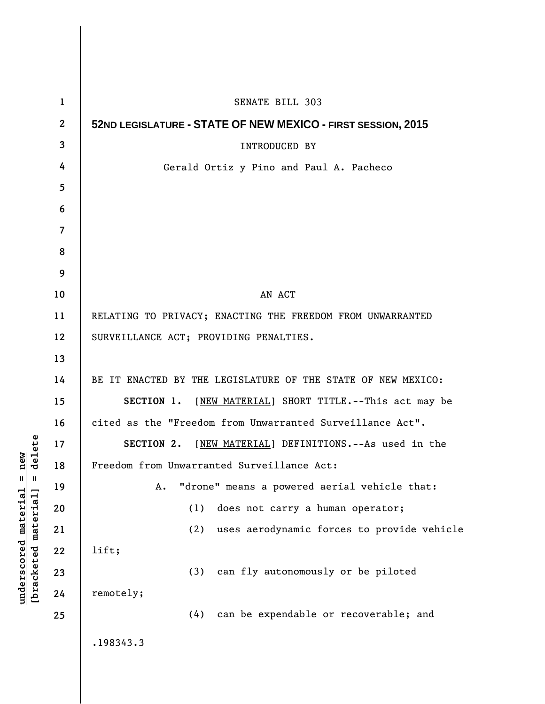| $\mathbf{1}$             | SENATE BILL 303                                              |
|--------------------------|--------------------------------------------------------------|
| $\mathbf{2}$             | 52ND LEGISLATURE - STATE OF NEW MEXICO - FIRST SESSION, 2015 |
| $\mathbf{3}$             | <b>INTRODUCED BY</b>                                         |
| 4                        | Gerald Ortiz y Pino and Paul A. Pacheco                      |
| 5                        |                                                              |
| 6                        |                                                              |
| $\overline{\mathcal{L}}$ |                                                              |
| 8                        |                                                              |
| 9                        |                                                              |
| 10                       | AN ACT                                                       |
| 11                       | RELATING TO PRIVACY; ENACTING THE FREEDOM FROM UNWARRANTED   |
| 12                       | SURVEILLANCE ACT; PROVIDING PENALTIES.                       |
| 13                       |                                                              |
| 14                       | BE IT ENACTED BY THE LEGISLATURE OF THE STATE OF NEW MEXICO: |
| 15                       | SECTION 1. [NEW MATERIAL] SHORT TITLE. -- This act may be    |
| 16                       | cited as the "Freedom from Unwarranted Surveillance Act".    |
| 17                       | SECTION 2.<br>[NEW MATERIAL] DEFINITIONS. -- As used in the  |
| 18                       | Freedom from Unwarranted Surveillance Act:                   |
| 19                       | "drone" means a powered aerial vehicle that:<br>Α.           |
| 20                       | (1)<br>does not carry a human operator;                      |
| 21                       | uses aerodynamic forces to provide vehicle<br>(2)            |
| 22                       | lift;                                                        |
| 23                       | can fly autonomously or be piloted<br>(3)                    |
| 24                       | remotely;                                                    |
| 25                       | (4) can be expendable or recoverable; and                    |
|                          | .198343.3                                                    |

**underscored material = new [bracketed material] = delete**

 $[**bracket eted metert et**] = **del et e**$  $underscored material = new$ 

 $\overline{\phantom{a}}$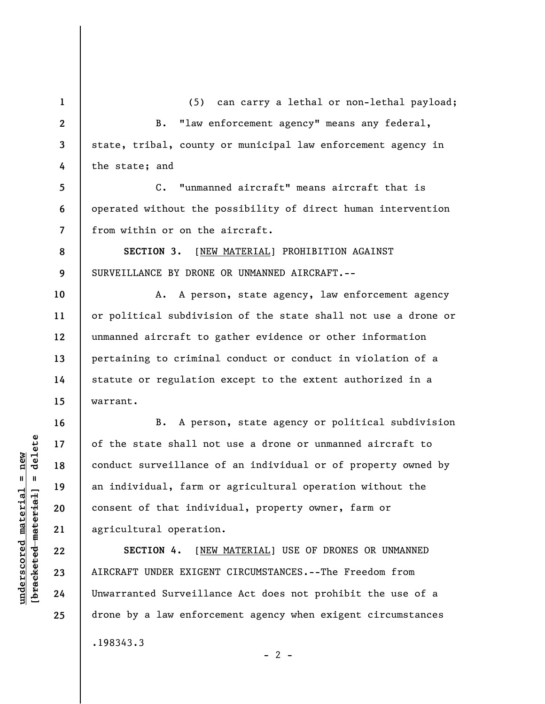**1 2 3 4**  (5) can carry a lethal or non-lethal payload; B. "law enforcement agency" means any federal, state, tribal, county or municipal law enforcement agency in the state; and

**5 6 7**  C. "unmanned aircraft" means aircraft that is operated without the possibility of direct human intervention from within or on the aircraft.

**9 SECTION 3.** [NEW MATERIAL] PROHIBITION AGAINST SURVEILLANCE BY DRONE OR UNMANNED AIRCRAFT.--

A. A person, state agency, law enforcement agency or political subdivision of the state shall not use a drone or unmanned aircraft to gather evidence or other information pertaining to criminal conduct or conduct in violation of a statute or regulation except to the extent authorized in a warrant.

B. A person, state agency or political subdivision of the state shall not use a drone or unmanned aircraft to conduct surveillance of an individual or of property owned by an individual, farm or agricultural operation without the consent of that individual, property owner, farm or agricultural operation.

**SECTION 4.** [NEW MATERIAL] USE OF DRONES OR UNMANNED AIRCRAFT UNDER EXIGENT CIRCUMSTANCES.--The Freedom from Unwarranted Surveillance Act does not prohibit the use of a drone by a law enforcement agency when exigent circumstances .198343.3  $- 2 -$ 

 $\frac{1}{2}$  intereted material = delete **[bracketed material] = delete**  $underscored material = new$ **underscored material = new**

**8** 

**10** 

**11** 

**12** 

**13** 

**14** 

**15** 

**16** 

**17** 

**18** 

**19** 

**20** 

**21** 

**22** 

**23** 

**24** 

**25**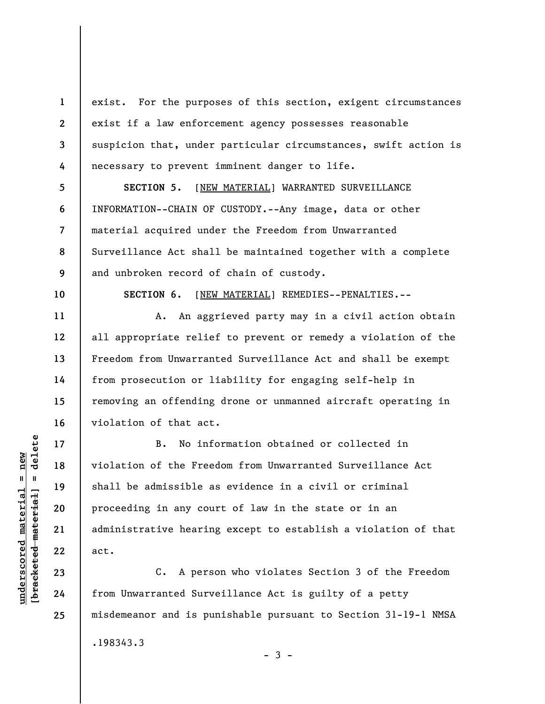**1 2 3 4**  exist. For the purposes of this section, exigent circumstances exist if a law enforcement agency possesses reasonable suspicion that, under particular circumstances, swift action is necessary to prevent imminent danger to life.

**SECTION 5.** [NEW MATERIAL] WARRANTED SURVEILLANCE INFORMATION--CHAIN OF CUSTODY.--Any image, data or other material acquired under the Freedom from Unwarranted Surveillance Act shall be maintained together with a complete and unbroken record of chain of custody.

**10** 

**11** 

**12** 

**13** 

**5** 

**6** 

**7** 

**8** 

**9** 

**SECTION 6.** [NEW MATERIAL] REMEDIES--PENALTIES.--

A. An aggrieved party may in a civil action obtain all appropriate relief to prevent or remedy a violation of the Freedom from Unwarranted Surveillance Act and shall be exempt from prosecution or liability for engaging self-help in removing an offending drone or unmanned aircraft operating in violation of that act.

B. No information obtained or collected in violation of the Freedom from Unwarranted Surveillance Act shall be admissible as evidence in a civil or criminal proceeding in any court of law in the state or in an administrative hearing except to establish a violation of that act.

C. A person who violates Section 3 of the Freedom from Unwarranted Surveillance Act is guilty of a petty misdemeanor and is punishable pursuant to Section 31-19-1 NMSA

.198343.3

**18** 

**19** 

**20** 

**21** 

**22** 

**23** 

**24** 

**25** 

 $-3 -$